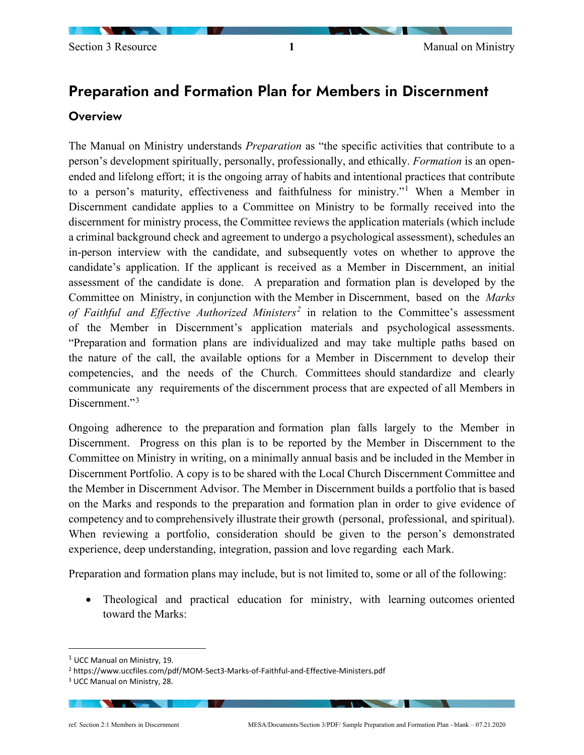# Preparation and Formation Plan for Members in Discernment

#### **Overview**

The Manual on Ministry understands *Preparation* as "the specific activities that contribute to a person's development spiritually, personally, professionally, and ethically. *Formation* is an openended and lifelong effort; it is the ongoing array of habits and intentional practices that contribute to a person's maturity, effectiveness and faithfulness for ministry."[1](#page-0-0) When a Member in Discernment candidate applies to a Committee on Ministry to be formally received into the discernment for ministry process, the Committee reviews the application materials (which include a criminal background check and agreement to undergo a psychological assessment), schedules an in-person interview with the candidate, and subsequently votes on whether to approve the candidate's application. If the applicant is received as a Member in Discernment, an initial assessment of the candidate is done. A preparation and formation plan is developed by the Committee on Ministry, in conjunction with the Member in Discernment, based on the *Marks of Faithful and Effective Authorized Ministers[2](#page-0-1)* in relation to the Committee's assessment of the Member in Discernment's application materials and psychological assessments. "Preparation and formation plans are individualized and may take multiple paths based on the nature of the call, the available options for a Member in Discernment to develop their competencies, and the needs of the Church. Committees should standardize and clearly communicate any requirements of the discernment process that are expected of all Members in Discernment."<sup>[3](#page-0-2)</sup>

Ongoing adherence to the preparation and formation plan falls largely to the Member in Discernment. Progress on this plan is to be reported by the Member in Discernment to the Committee on Ministry in writing, on a minimally annual basis and be included in the Member in Discernment Portfolio. A copy is to be shared with the Local Church Discernment Committee and the Member in Discernment Advisor. The Member in Discernment builds a portfolio that is based on the Marks and responds to the preparation and formation plan in order to give evidence of competency and to comprehensively illustrate their growth (personal, professional, and spiritual). When reviewing a portfolio, consideration should be given to the person's demonstrated experience, deep understanding, integration, passion and love regarding each Mark.

Preparation and formation plans may include, but is not limited to, some or all of the following:

Theological and practical education for ministry, with learning outcomes oriented toward the Marks:

<span id="page-0-0"></span> $1$  UCC Manual on Ministry, 19.

<span id="page-0-1"></span><sup>2</sup> https://www.uccfiles.com/pdf/MOM-Sect3-Marks-of-Faithful-and-Effective-Ministers.pdf

<span id="page-0-2"></span><sup>3</sup> UCC Manual on Ministry, 28.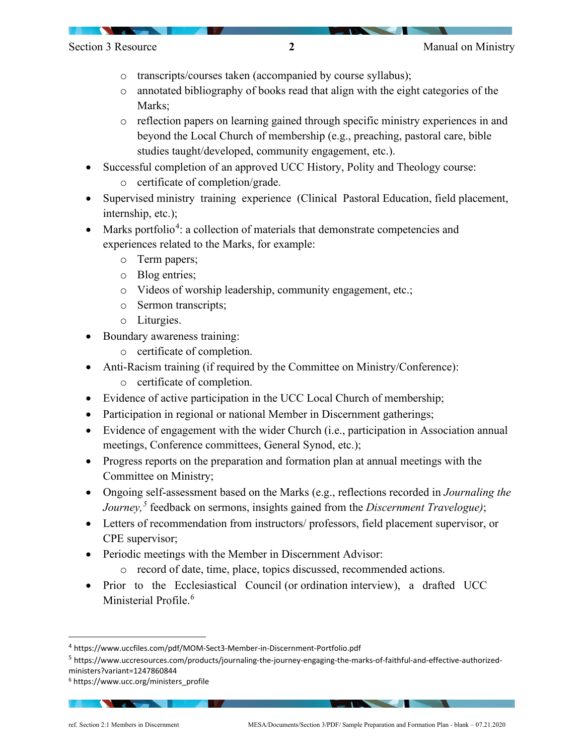- o transcripts/courses taken (accompanied by course syllabus);
- o annotated bibliography of books read that align with the eight categories of the Marks:
- o reflection papers on learning gained through specific ministry experiences in and beyond the Local Church of membership (e.g., preaching, pastoral care, bible studies taught/developed, community engagement, etc.).
- Successful completion of an approved UCC History, Polity and Theology course:
	- o certificate of completion/grade.
- Supervised ministry training experience (Clinical Pastoral Education, field placement, internship, etc.);
- Marks portfolio<sup>[4](#page-1-0)</sup>: a collection of materials that demonstrate competencies and experiences related to the Marks, for example:
	- o Term papers;
	- o Blog entries;
	- o Videos of worship leadership, community engagement, etc.;
	- o Sermon transcripts;
	- o Liturgies.
- Boundary awareness training:
	- o certificate of completion.
- Anti-Racism training (if required by the Committee on Ministry/Conference):
	- o certificate of completion.
- Evidence of active participation in the UCC Local Church of membership;
- Participation in regional or national Member in Discernment gatherings;
- Evidence of engagement with the wider Church (i.e., participation in Association annual meetings, Conference committees, General Synod, etc.);
- Progress reports on the preparation and formation plan at annual meetings with the Committee on Ministry;
- Ongoing self-assessment based on the Marks (e.g., reflections recorded in *Journaling the Journey,[5](#page-1-1)* feedback on sermons, insights gained from the *Discernment Travelogue)*;
- Letters of recommendation from instructors/ professors, field placement supervisor, or CPE supervisor;
- Periodic meetings with the Member in Discernment Advisor:
	- o record of date, time, place, topics discussed, recommended actions.
- Prior to the Ecclesiastical Council (or ordination interview), a drafted UCC Ministerial Profile.<sup>[6](#page-1-2)</sup>

<span id="page-1-0"></span><sup>4</sup> https://www.uccfiles.com/pdf/MOM-Sect3-Member-in-Discernment-Portfolio.pdf

<span id="page-1-1"></span><sup>5</sup> https://www.uccresources.com/products/journaling-the-journey-engaging-the-marks-of-faithful-and-effective-authorizedministers?variant=1247860844

<span id="page-1-2"></span><sup>6</sup> https://www.ucc.org/ministers\_profile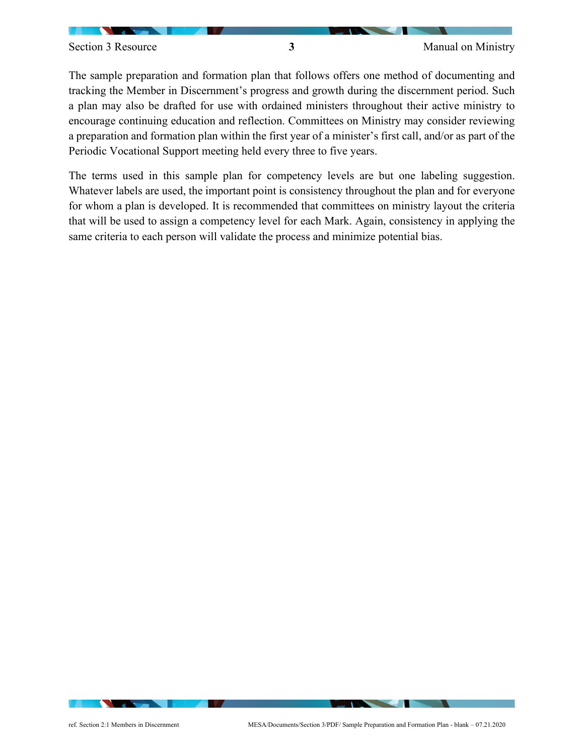The sample preparation and formation plan that follows offers one method of documenting and tracking the Member in Discernment's progress and growth during the discernment period. Such a plan may also be drafted for use with ordained ministers throughout their active ministry to encourage continuing education and reflection. Committees on Ministry may consider reviewing a preparation and formation plan within the first year of a minister's first call, and/or as part of the Periodic Vocational Support meeting held every three to five years.

The terms used in this sample plan for competency levels are but one labeling suggestion. Whatever labels are used, the important point is consistency throughout the plan and for everyone for whom a plan is developed. It is recommended that committees on ministry layout the criteria that will be used to assign a competency level for each Mark. Again, consistency in applying the same criteria to each person will validate the process and minimize potential bias.

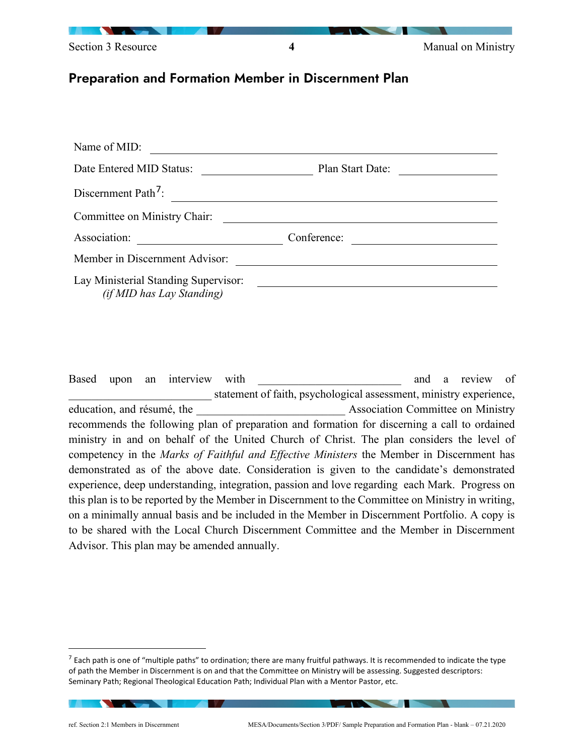

### Preparation and Formation Member in Discernment Plan

| Name of MID:                                                             |                  |  |
|--------------------------------------------------------------------------|------------------|--|
| Date Entered MID Status:                                                 | Plan Start Date: |  |
| Discernment Path <sup>7</sup> :                                          |                  |  |
| Committee on Ministry Chair:                                             |                  |  |
| Association:                                                             | Conference:      |  |
| Member in Discernment Advisor:                                           |                  |  |
| Lay Ministerial Standing Supervisor:<br><i>(if MID has Lay Standing)</i> |                  |  |

Based upon an interview with *a* and a review of *\_\_\_\_\_\_\_\_\_\_\_\_\_\_\_\_\_\_\_\_\_\_\_\_\_* statement of faith, psychological assessment, ministry experience, education, and résumé, the *\_\_\_\_\_\_\_\_\_\_\_\_\_\_\_\_\_\_\_\_\_\_\_\_\_\_* Association Committee on Ministry recommends the following plan of preparation and formation for discerning a call to ordained ministry in and on behalf of the United Church of Christ. The plan considers the level of competency in the *Marks of Faithful and Effective Ministers* the Member in Discernment has demonstrated as of the above date. Consideration is given to the candidate's demonstrated experience, deep understanding, integration, passion and love regarding each Mark. Progress on this plan is to be reported by the Member in Discernment to the Committee on Ministry in writing, on a minimally annual basis and be included in the Member in Discernment Portfolio. A copy is to be shared with the Local Church Discernment Committee and the Member in Discernment Advisor. This plan may be amended annually.

<span id="page-3-0"></span> $<sup>7</sup>$  Each path is one of "multiple paths" to ordination; there are many fruitful pathways. It is recommended to indicate the type</sup> of path the Member in Discernment is on and that the Committee on Ministry will be assessing. Suggested descriptors: Seminary Path; Regional Theological Education Path; Individual Plan with a Mentor Pastor, etc.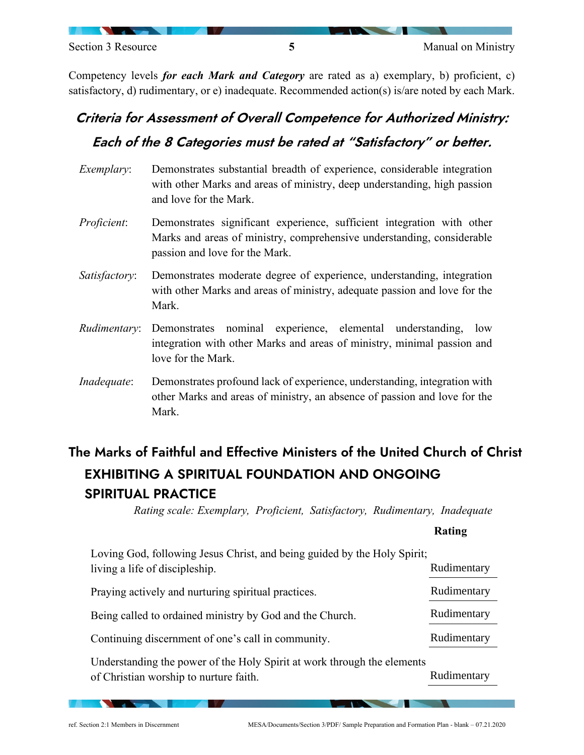Competency levels *for each Mark and Category* are rated as a) exemplary, b) proficient, c) satisfactory, d) rudimentary, or e) inadequate. Recommended action(s) is/are noted by each Mark.

# Criteria for Assessment of Overall Competence for Authorized Ministry: Each of the 8 Categories must be rated at "Satisfactory" or better.

- *Exemplary*: Demonstrates substantial breadth of experience, considerable integration with other Marks and areas of ministry, deep understanding, high passion and love for the Mark.
- *Proficient*: Demonstrates significant experience, sufficient integration with other Marks and areas of ministry, comprehensive understanding, considerable passion and love for the Mark.
- *Satisfactory*: Demonstrates moderate degree of experience, understanding, integration with other Marks and areas of ministry, adequate passion and love for the Mark.
- *Rudimentary*: Demonstrates nominal experience, elemental understanding, low integration with other Marks and areas of ministry, minimal passion and love for the Mark.
- *Inadequate*: Demonstrates profound lack of experience, understanding, integration with other Marks and areas of ministry, an absence of passion and love for the Mark.

# The Marks of Faithful and Effective Ministers of the United Church of Christ EXHIBITING A SPIRITUAL FOUNDATION AND ONGOING SPIRITUAL PRACTICE

*Rating scale: Exemplary, Proficient, Satisfactory, Rudimentary, Inadequate*

#### **Rating**

Rudimentary

| Loving God, following Jesus Christ, and being guided by the Holy Spirit; |             |
|--------------------------------------------------------------------------|-------------|
| living a life of discipleship.                                           | Rudimentary |
| Praying actively and nurturing spiritual practices.                      | Rudimentary |
| Being called to ordained ministry by God and the Church.                 | Rudimentary |
| Continuing discernment of one's call in community.                       | Rudimentary |
| Understanding the power of the Holy Spirit at work through the elements  |             |

of Christian worship to nurture faith.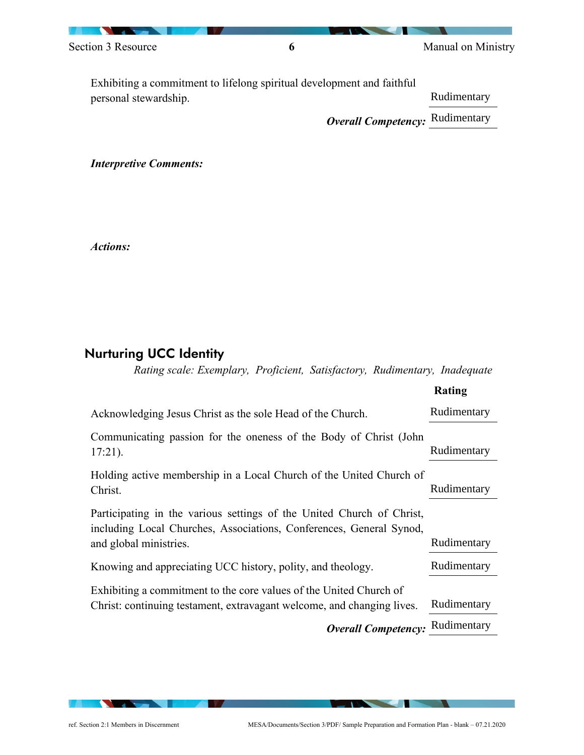| Section 3 Resource    | o                                                                      | Manual on Ministry                     |
|-----------------------|------------------------------------------------------------------------|----------------------------------------|
|                       | Exhibiting a commitment to lifelong spiritual development and faithful |                                        |
| personal stewardship. |                                                                        | Rudimentary                            |
|                       |                                                                        | <b>Overall Competency: Rudimentary</b> |

*Interpretive Comments:*

*Actions:*

## Nurturing UCC Identity

### *Rating scale: Exemplary, Proficient, Satisfactory, Rudimentary, Inadequate*

|                                                                                                                                                                        | Rating      |
|------------------------------------------------------------------------------------------------------------------------------------------------------------------------|-------------|
| Acknowledging Jesus Christ as the sole Head of the Church.                                                                                                             | Rudimentary |
| Communicating passion for the oneness of the Body of Christ (John<br>$17:21$ ).                                                                                        | Rudimentary |
| Holding active membership in a Local Church of the United Church of<br>Christ.                                                                                         | Rudimentary |
| Participating in the various settings of the United Church of Christ,<br>including Local Churches, Associations, Conferences, General Synod,<br>and global ministries. | Rudimentary |
| Knowing and appreciating UCC history, polity, and theology.                                                                                                            | Rudimentary |
| Exhibiting a commitment to the core values of the United Church of<br>Christ: continuing testament, extravagant welcome, and changing lives.                           | Rudimentary |
| <b>Overall Competency:</b>                                                                                                                                             | Rudimentary |

 $\blacksquare$ 

 $\sqrt{2}$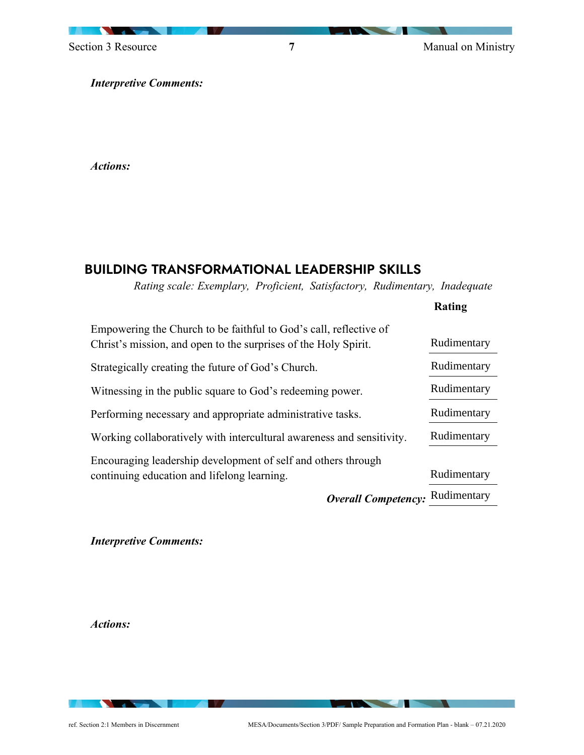Section 3 Resource **7** Manual on Ministry

**Rating**

*Interpretive Comments:*

*Actions:*

## BUILDING TRANSFORMATIONAL LEADERSHIP SKILLS

*Rating scale: Exemplary, Proficient, Satisfactory, Rudimentary, Inadequate*

| Empowering the Church to be faithful to God's call, reflective of<br>Christ's mission, and open to the surprises of the Holy Spirit. | Rudimentary |
|--------------------------------------------------------------------------------------------------------------------------------------|-------------|
| Strategically creating the future of God's Church.                                                                                   | Rudimentary |
| Witnessing in the public square to God's redeeming power.                                                                            | Rudimentary |
| Performing necessary and appropriate administrative tasks.                                                                           | Rudimentary |
| Working collaboratively with intercultural awareness and sensitivity.                                                                | Rudimentary |
| Encouraging leadership development of self and others through<br>continuing education and lifelong learning.                         | Rudimentary |
| <b>Overall Competency:</b>                                                                                                           | Rudimentary |
|                                                                                                                                      |             |

*Interpretive Comments:*

*Actions:*

ref. Section 2:1 Members in Discernment     MESA/Documents/Section 3/PDF/ Sample Preparation and Formation Plan - blank – 07.21.2020 

 $\sqrt{2}$ 

**The Committee of the Committee of the Committee**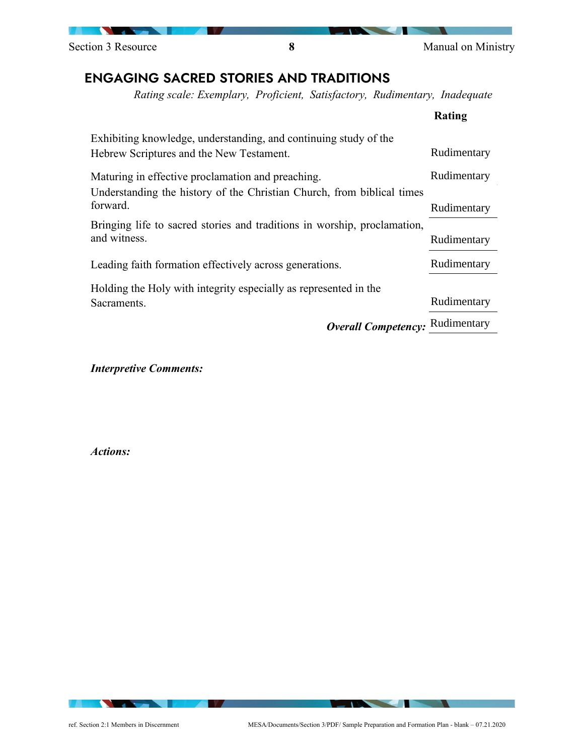Section 3 Resource **8** Manual on Ministry

### ENGAGING SACRED STORIES AND TRADITIONS

*Rating scale: Exemplary, Proficient, Satisfactory, Rudimentary, Inadequate*

|                                                                          | Rating      |
|--------------------------------------------------------------------------|-------------|
| Exhibiting knowledge, understanding, and continuing study of the         |             |
| Hebrew Scriptures and the New Testament.                                 | Rudimentary |
| Maturing in effective proclamation and preaching.                        | Rudimentary |
| Understanding the history of the Christian Church, from biblical times   |             |
| forward.                                                                 | Rudimentary |
| Bringing life to sacred stories and traditions in worship, proclamation, |             |
| and witness.                                                             | Rudimentary |
| Leading faith formation effectively across generations.                  | Rudimentary |
| Holding the Holy with integrity especially as represented in the         |             |
| Sacraments.                                                              | Rudimentary |
| <b>Overall Competency:</b>                                               | Rudimentary |

*Interpretive Comments:*

*Actions:*

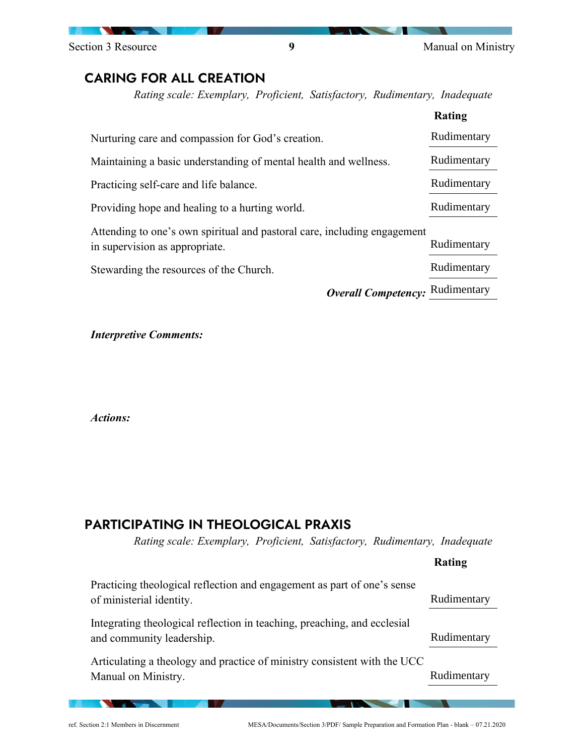Section 3 Resource **9** Manual on Ministry

### CARING FOR ALL CREATION

*Rating scale: Exemplary, Proficient, Satisfactory, Rudimentary, Inadequate*

|                                                                                                            | Rating      |
|------------------------------------------------------------------------------------------------------------|-------------|
| Nurturing care and compassion for God's creation.                                                          | Rudimentary |
| Maintaining a basic understanding of mental health and wellness.                                           | Rudimentary |
| Practicing self-care and life balance.                                                                     | Rudimentary |
| Providing hope and healing to a hurting world.                                                             | Rudimentary |
| Attending to one's own spiritual and pastoral care, including engagement<br>in supervision as appropriate. | Rudimentary |
| Stewarding the resources of the Church.                                                                    | Rudimentary |
| <b>Overall Competency:</b>                                                                                 | Rudimentary |

*Interpretive Comments:*

*Actions:*

### PARTICIPATING IN THEOLOGICAL PRAXIS

*Rating scale: Exemplary, Proficient, Satisfactory, Rudimentary, Inadequate*

|                                                                                                       | Rating      |
|-------------------------------------------------------------------------------------------------------|-------------|
| Practicing theological reflection and engagement as part of one's sense<br>of ministerial identity.   | Rudimentary |
| Integrating theological reflection in teaching, preaching, and ecclesial<br>and community leadership. | Rudimentary |
| Articulating a theology and practice of ministry consistent with the UCC<br>Manual on Ministry.       | Rudimentary |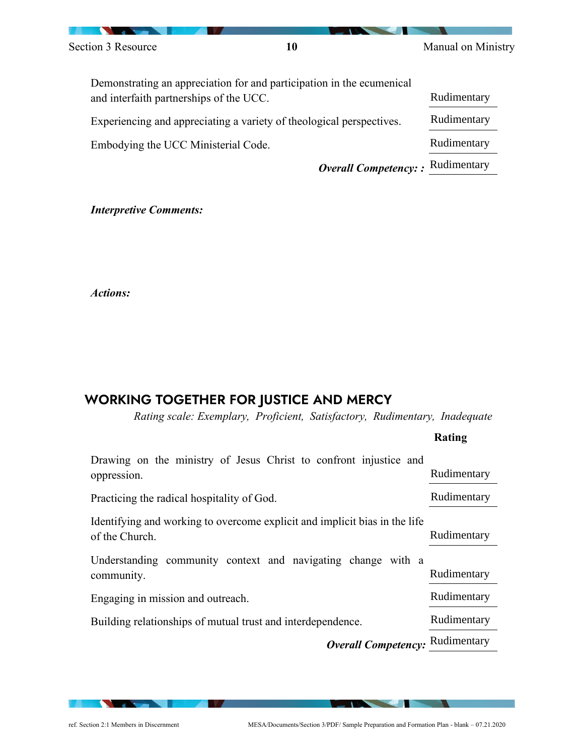

| Demonstrating an appreciation for and participation in the ecumenical<br>and interfaith partnerships of the UCC. | Rudimentary |
|------------------------------------------------------------------------------------------------------------------|-------------|
| Experiencing and appreciating a variety of theological perspectives.                                             | Rudimentary |
| Embodying the UCC Ministerial Code.                                                                              | Rudimentary |
| <b>Overall Competency:</b> : Rudimentary                                                                         |             |

#### *Interpretive Comments:*

*Actions:*

## WORKING TOGETHER FOR JUSTICE AND MERCY

*Rating scale: Exemplary, Proficient, Satisfactory, Rudimentary, Inadequate*

|                                                                                              | Rating      |
|----------------------------------------------------------------------------------------------|-------------|
| Drawing on the ministry of Jesus Christ to confront injustice and<br>oppression.             | Rudimentary |
| Practicing the radical hospitality of God.                                                   | Rudimentary |
| Identifying and working to overcome explicit and implicit bias in the life<br>of the Church. | Rudimentary |
| Understanding community context and navigating change with a<br>community.                   | Rudimentary |
| Engaging in mission and outreach.                                                            | Rudimentary |
| Building relationships of mutual trust and interdependence.                                  | Rudimentary |
| <b>Overall Competency: Rudimentary</b>                                                       |             |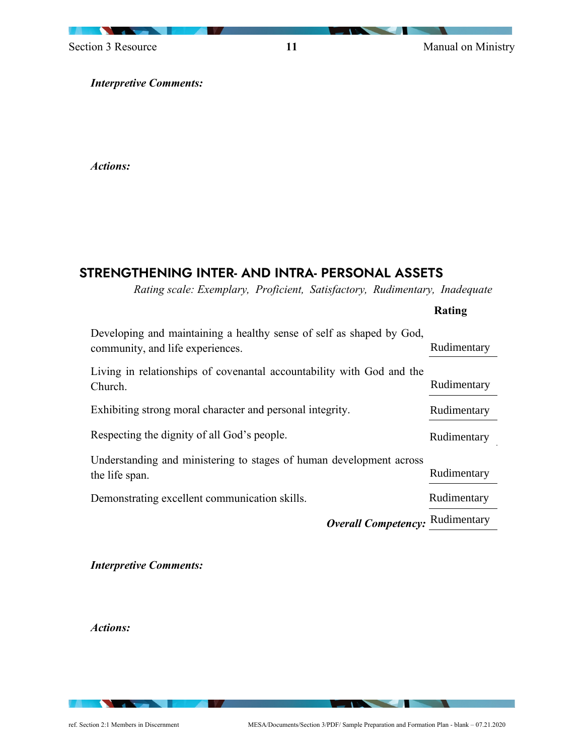

Section 3 Resource **11** Manual on Ministry

*Interpretive Comments:*

*Actions:*

### STRENGTHENING INTER- AND INTRA- PERSONAL ASSETS

*Rating scale: Exemplary, Proficient, Satisfactory, Rudimentary, Inadequate*

|                                                                                                          | Rating      |
|----------------------------------------------------------------------------------------------------------|-------------|
| Developing and maintaining a healthy sense of self as shaped by God,<br>community, and life experiences. | Rudimentary |
| Living in relationships of covenantal accountability with God and the<br>Church.                         | Rudimentary |
| Exhibiting strong moral character and personal integrity.                                                | Rudimentary |
| Respecting the dignity of all God's people.                                                              | Rudimentary |
| Understanding and ministering to stages of human development across<br>the life span.                    | Rudimentary |
| Demonstrating excellent communication skills.                                                            | Rudimentary |
| <b>Overall Competency:</b>                                                                               | Rudimentary |

*Interpretive Comments:*

*Actions:*

 $\sqrt{2}$ 

**The Common Service Common Service**